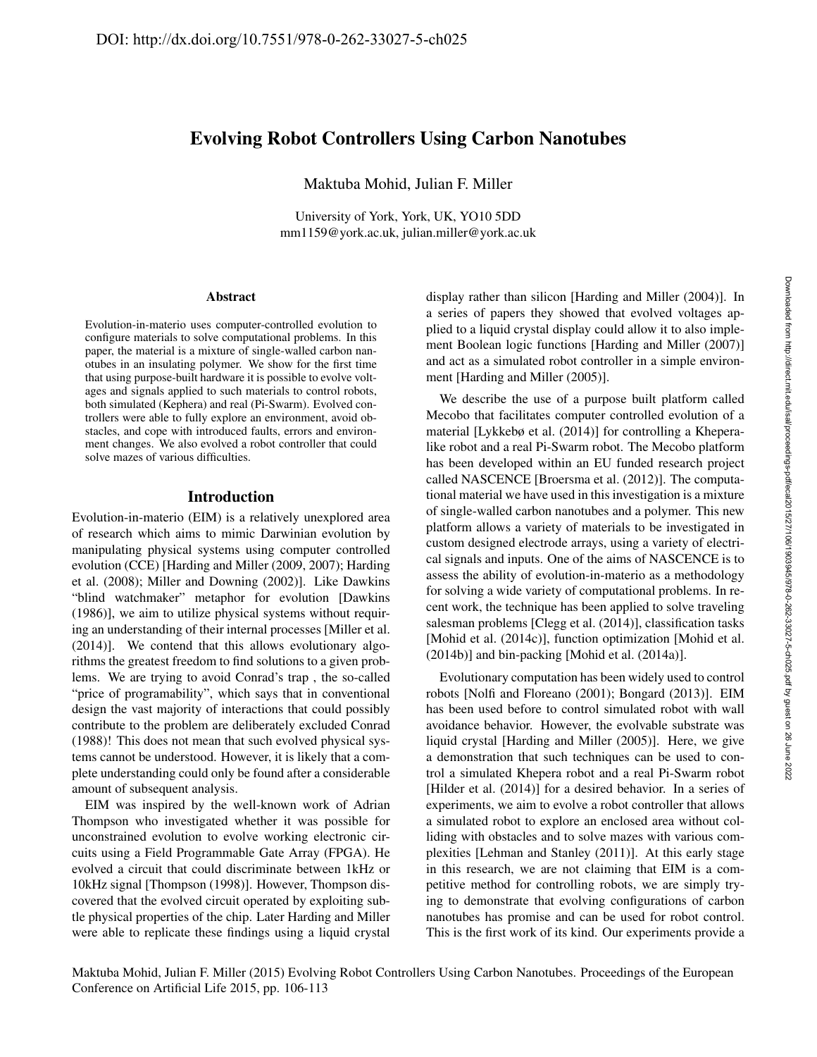# Evolving Robot Controllers Using Carbon Nanotubes

Maktuba Mohid, Julian F. Miller

University of York, York, UK, YO10 5DD mm1159@york.ac.uk, julian.miller@york.ac.uk

#### Abstract

Evolution-in-materio uses computer-controlled evolution to configure materials to solve computational problems. In this paper, the material is a mixture of single-walled carbon nanotubes in an insulating polymer. We show for the first time that using purpose-built hardware it is possible to evolve voltages and signals applied to such materials to control robots, both simulated (Kephera) and real (Pi-Swarm). Evolved controllers were able to fully explore an environment, avoid obstacles, and cope with introduced faults, errors and environment changes. We also evolved a robot controller that could solve mazes of various difficulties.

### Introduction

Evolution-in-materio (EIM) is a relatively unexplored area of research which aims to mimic Darwinian evolution by manipulating physical systems using computer controlled evolution (CCE) [Harding and Miller (2009, 2007); Harding et al. (2008); Miller and Downing (2002)]. Like Dawkins "blind watchmaker" metaphor for evolution [Dawkins (1986)], we aim to utilize physical systems without requiring an understanding of their internal processes [Miller et al. (2014)]. We contend that this allows evolutionary algorithms the greatest freedom to find solutions to a given problems. We are trying to avoid Conrad's trap , the so-called "price of programability", which says that in conventional design the vast majority of interactions that could possibly contribute to the problem are deliberately excluded Conrad (1988)! This does not mean that such evolved physical systems cannot be understood. However, it is likely that a complete understanding could only be found after a considerable amount of subsequent analysis.

EIM was inspired by the well-known work of Adrian Thompson who investigated whether it was possible for unconstrained evolution to evolve working electronic circuits using a Field Programmable Gate Array (FPGA). He evolved a circuit that could discriminate between 1kHz or 10kHz signal [Thompson (1998)]. However, Thompson discovered that the evolved circuit operated by exploiting subtle physical properties of the chip. Later Harding and Miller were able to replicate these findings using a liquid crystal

display rather than silicon [Harding and Miller (2004)]. In a series of papers they showed that evolved voltages applied to a liquid crystal display could allow it to also implement Boolean logic functions [Harding and Miller (2007)] and act as a simulated robot controller in a simple environment [Harding and Miller (2005)].

We describe the use of a purpose built platform called Mecobo that facilitates computer controlled evolution of a material [Lykkebø et al. (2014)] for controlling a Kheperalike robot and a real Pi-Swarm robot. The Mecobo platform has been developed within an EU funded research project called NASCENCE [Broersma et al. (2012)]. The computational material we have used in this investigation is a mixture of single-walled carbon nanotubes and a polymer. This new platform allows a variety of materials to be investigated in custom designed electrode arrays, using a variety of electrical signals and inputs. One of the aims of NASCENCE is to assess the ability of evolution-in-materio as a methodology for solving a wide variety of computational problems. In recent work, the technique has been applied to solve traveling salesman problems [Clegg et al. (2014)], classification tasks [Mohid et al. (2014c)], function optimization [Mohid et al. (2014b)] and bin-packing [Mohid et al. (2014a)].

Evolutionary computation has been widely used to control robots [Nolfi and Floreano (2001); Bongard (2013)]. EIM has been used before to control simulated robot with wall avoidance behavior. However, the evolvable substrate was liquid crystal [Harding and Miller (2005)]. Here, we give a demonstration that such techniques can be used to control a simulated Khepera robot and a real Pi-Swarm robot [Hilder et al. (2014)] for a desired behavior. In a series of experiments, we aim to evolve a robot controller that allows a simulated robot to explore an enclosed area without colliding with obstacles and to solve mazes with various complexities [Lehman and Stanley (2011)]. At this early stage in this research, we are not claiming that EIM is a competitive method for controlling robots, we are simply trying to demonstrate that evolving configurations of carbon nanotubes has promise and can be used for robot control. This is the first work of its kind. Our experiments provide a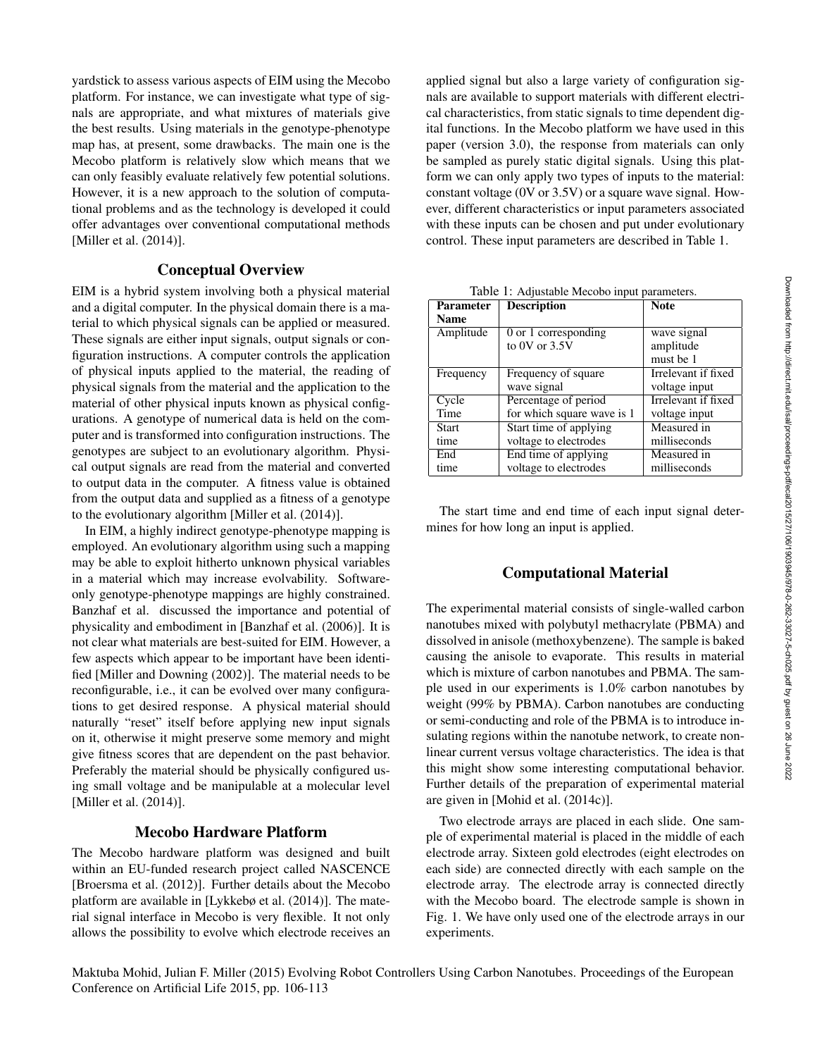yardstick to assess various aspects of EIM using the Mecobo platform. For instance, we can investigate what type of signals are appropriate, and what mixtures of materials give the best results. Using materials in the genotype-phenotype map has, at present, some drawbacks. The main one is the Mecobo platform is relatively slow which means that we can only feasibly evaluate relatively few potential solutions. However, it is a new approach to the solution of computational problems and as the technology is developed it could offer advantages over conventional computational methods [Miller et al. (2014)].

# Conceptual Overview

EIM is a hybrid system involving both a physical material and a digital computer. In the physical domain there is a material to which physical signals can be applied or measured. These signals are either input signals, output signals or configuration instructions. A computer controls the application of physical inputs applied to the material, the reading of physical signals from the material and the application to the material of other physical inputs known as physical configurations. A genotype of numerical data is held on the computer and is transformed into configuration instructions. The genotypes are subject to an evolutionary algorithm. Physical output signals are read from the material and converted to output data in the computer. A fitness value is obtained from the output data and supplied as a fitness of a genotype to the evolutionary algorithm [Miller et al. (2014)].

In EIM, a highly indirect genotype-phenotype mapping is employed. An evolutionary algorithm using such a mapping may be able to exploit hitherto unknown physical variables in a material which may increase evolvability. Softwareonly genotype-phenotype mappings are highly constrained. Banzhaf et al. discussed the importance and potential of physicality and embodiment in [Banzhaf et al. (2006)]. It is not clear what materials are best-suited for EIM. However, a few aspects which appear to be important have been identified [Miller and Downing (2002)]. The material needs to be reconfigurable, i.e., it can be evolved over many configurations to get desired response. A physical material should naturally "reset" itself before applying new input signals on it, otherwise it might preserve some memory and might give fitness scores that are dependent on the past behavior. Preferably the material should be physically configured using small voltage and be manipulable at a molecular level [Miller et al. (2014)].

### Mecobo Hardware Platform

The Mecobo hardware platform was designed and built within an EU-funded research project called NASCENCE [Broersma et al. (2012)]. Further details about the Mecobo platform are available in [Lykkebø et al. (2014)]. The material signal interface in Mecobo is very flexible. It not only allows the possibility to evolve which electrode receives an

applied signal but also a large variety of configuration signals are available to support materials with different electrical characteristics, from static signals to time dependent digital functions. In the Mecobo platform we have used in this paper (version 3.0), the response from materials can only be sampled as purely static digital signals. Using this platform we can only apply two types of inputs to the material: constant voltage (0V or 3.5V) or a square wave signal. However, different characteristics or input parameters associated with these inputs can be chosen and put under evolutionary control. These input parameters are described in Table 1.

| Table 1. Aufustable McCobo liiput parallelers. |                            |                     |  |
|------------------------------------------------|----------------------------|---------------------|--|
| Parameter                                      | <b>Description</b>         | <b>Note</b>         |  |
| <b>Name</b>                                    |                            |                     |  |
| Amplitude                                      | 0 or 1 corresponding       | wave signal         |  |
|                                                | to 0V or $3.5V$            | amplitude           |  |
|                                                |                            | must be 1           |  |
| Frequency                                      | Frequency of square        | Irrelevant if fixed |  |
|                                                | wave signal                | voltage input       |  |
| Cycle                                          | Percentage of period       | Irrelevant if fixed |  |
| Time                                           | for which square wave is 1 | voltage input       |  |
| <b>Start</b>                                   | Start time of applying     | Measured in         |  |
| time                                           | voltage to electrodes      | milliseconds        |  |
| End                                            | End time of applying       | Measured in         |  |
| time                                           | voltage to electrodes      | milliseconds        |  |

Table 1: Adjustable Mecobo input parameter

The start time and end time of each input signal determines for how long an input is applied.

### Computational Material

The experimental material consists of single-walled carbon nanotubes mixed with polybutyl methacrylate (PBMA) and dissolved in anisole (methoxybenzene). The sample is baked causing the anisole to evaporate. This results in material which is mixture of carbon nanotubes and PBMA. The sample used in our experiments is 1.0% carbon nanotubes by weight (99% by PBMA). Carbon nanotubes are conducting or semi-conducting and role of the PBMA is to introduce insulating regions within the nanotube network, to create nonlinear current versus voltage characteristics. The idea is that this might show some interesting computational behavior. Further details of the preparation of experimental material are given in [Mohid et al. (2014c)].

Two electrode arrays are placed in each slide. One sample of experimental material is placed in the middle of each electrode array. Sixteen gold electrodes (eight electrodes on each side) are connected directly with each sample on the electrode array. The electrode array is connected directly with the Mecobo board. The electrode sample is shown in Fig. 1. We have only used one of the electrode arrays in our experiments.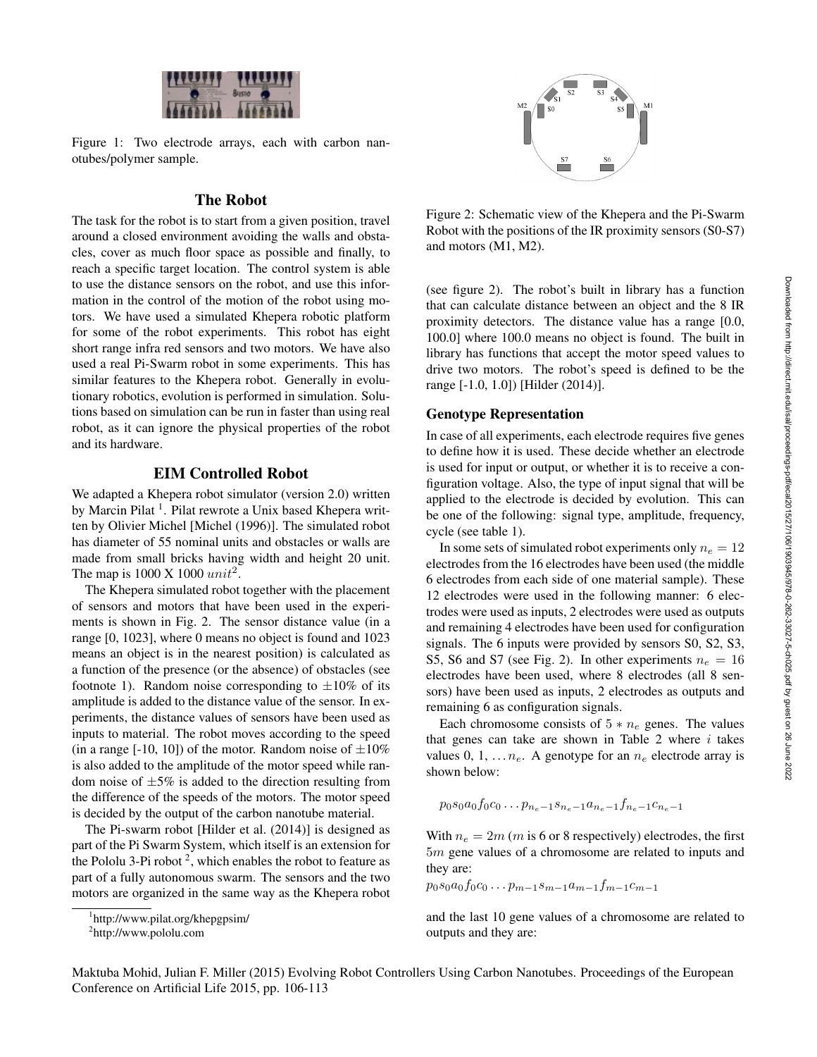

Figure 1: Two electrode arrays, each with carbon nanotubes/polymer sample.

# The Robot

The task for the robot is to start from a given position, travel around a closed environment avoiding the walls and obstacles, cover as much floor space as possible and finally, to reach a specific target location. The control system is able to use the distance sensors on the robot, and use this information in the control of the motion of the robot using motors. We have used a simulated Khepera robotic platform for some of the robot experiments. This robot has eight short range infra red sensors and two motors. We have also used a real Pi-Swarm robot in some experiments. This has similar features to the Khepera robot. Generally in evolutionary robotics, evolution is performed in simulation. Solutions based on simulation can be run in faster than using real robot, as it can ignore the physical properties of the robot and its hardware.

# EIM Controlled Robot

We adapted a Khepera robot simulator (version 2.0) written by Marcin Pilat<sup>1</sup>. Pilat rewrote a Unix based Khepera written by Olivier Michel [Michel (1996)]. The simulated robot has diameter of 55 nominal units and obstacles or walls are made from small bricks having width and height 20 unit. The map is  $1000 \text{ X } 1000 \text{ unit}^2$ .

The Khepera simulated robot together with the placement of sensors and motors that have been used in the experiments is shown in Fig. 2. The sensor distance value (in a range [0, 1023], where 0 means no object is found and 1023 means an object is in the nearest position) is calculated as a function of the presence (or the absence) of obstacles (see footnote 1). Random noise corresponding to  $\pm 10\%$  of its amplitude is added to the distance value of the sensor. In experiments, the distance values of sensors have been used as inputs to material. The robot moves according to the speed (in a range [-10, 10]) of the motor. Random noise of  $\pm 10\%$ is also added to the amplitude of the motor speed while random noise of  $\pm 5\%$  is added to the direction resulting from the difference of the speeds of the motors. The motor speed is decided by the output of the carbon nanotube material.

The Pi-swarm robot [Hilder et al. (2014)] is designed as part of the Pi Swarm System, which itself is an extension for the Pololu 3-Pi robot  $2$ , which enables the robot to feature as part of a fully autonomous swarm. The sensors and the two motors are organized in the same way as the Khepera robot



Figure 2: Schematic view of the Khepera and the Pi-Swarm Robot with the positions of the IR proximity sensors (S0-S7) and motors (M1, M2).

(see figure 2). The robot's built in library has a function that can calculate distance between an object and the 8 IR proximity detectors. The distance value has a range [0.0, 100.0] where 100.0 means no object is found. The built in library has functions that accept the motor speed values to drive two motors. The robot's speed is defined to be the range [-1.0, 1.0]) [Hilder (2014)].

### Genotype Representation

In case of all experiments, each electrode requires five genes to define how it is used. These decide whether an electrode is used for input or output, or whether it is to receive a configuration voltage. Also, the type of input signal that will be applied to the electrode is decided by evolution. This can be one of the following: signal type, amplitude, frequency, cycle (see table 1).

In some sets of simulated robot experiments only  $n_e = 12$ electrodes from the 16 electrodes have been used (the middle 6 electrodes from each side of one material sample). These 12 electrodes were used in the following manner: 6 electrodes were used as inputs, 2 electrodes were used as outputs and remaining 4 electrodes have been used for configuration signals. The 6 inputs were provided by sensors S0, S2, S3, S5, S6 and S7 (see Fig. 2). In other experiments  $n_e = 16$ electrodes have been used, where 8 electrodes (all 8 sensors) have been used as inputs, 2 electrodes as outputs and remaining 6 as configuration signals.

Each chromosome consists of  $5 * n_e$  genes. The values that genes can take are shown in Table 2 where  $i$  takes values 0, 1, ...  $n_e$ . A genotype for an  $n_e$  electrode array is shown below:

$$
p_0 s_0 a_0 f_0 c_0 \dots p_{n_e-1} s_{n_e-1} a_{n_e-1} f_{n_e-1} c_{n_e-1}
$$

With  $n_e = 2m$  (*m* is 6 or 8 respectively) electrodes, the first 5m gene values of a chromosome are related to inputs and they are:

$$
p_0s_0a_0f_0c_0\ldots p_{m-1}s_{m-1}a_{m-1}f_{m-1}c_{m-1}
$$

and the last 10 gene values of a chromosome are related to outputs and they are:

<sup>1</sup> http://www.pilat.org/khepgpsim/

<sup>2</sup> http://www.pololu.com

Maktuba Mohid, Julian F. Miller (2015) Evolving Robot Controllers Using Carbon Nanotubes. Proceedings of the European Conference on Artificial Life 2015, pp. 106-113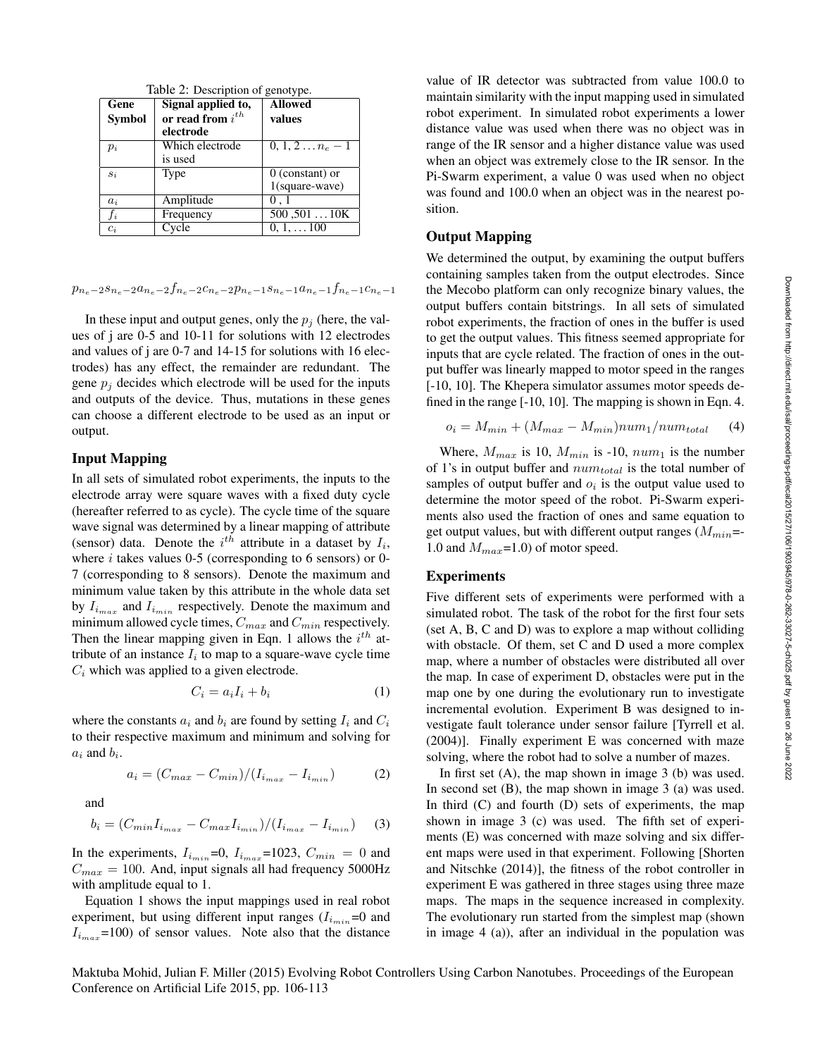| Table $\angle$ . Description of genotype. |                       |                        |  |
|-------------------------------------------|-----------------------|------------------------|--|
| Gene                                      | Signal applied to,    | <b>Allowed</b>         |  |
| <b>Symbol</b>                             | or read from $i^{th}$ | values                 |  |
|                                           | electrode             |                        |  |
| $p_i$                                     | Which electrode       | $0, 1, 2n_e-1$         |  |
|                                           | is used               |                        |  |
| $s_i$                                     | Type                  | $0$ (constant) or      |  |
|                                           |                       | $1$ (square-wave)      |  |
| $a_i$                                     | Amplitude             | 0.1                    |  |
| $f_i$                                     | Frequency             | $500, 501, \ldots 10K$ |  |
| $c_i$                                     | Cycle                 | $0, 1, \ldots 100$     |  |

 $Table 2: Deviation of$ 

 $p_{n_e-2}s_{n_e-2}a_{n_e-2}f_{n_e-2}c_{n_e-2}p_{n_e-1}s_{n_e-1}a_{n_e-1}f_{n_e-1}c_{n_e-1}$ 

In these input and output genes, only the  $p_i$  (here, the values of j are 0-5 and 10-11 for solutions with 12 electrodes and values of j are 0-7 and 14-15 for solutions with 16 electrodes) has any effect, the remainder are redundant. The gene  $p_i$  decides which electrode will be used for the inputs and outputs of the device. Thus, mutations in these genes can choose a different electrode to be used as an input or output.

# Input Mapping

In all sets of simulated robot experiments, the inputs to the electrode array were square waves with a fixed duty cycle (hereafter referred to as cycle). The cycle time of the square wave signal was determined by a linear mapping of attribute (sensor) data. Denote the  $i^{th}$  attribute in a dataset by  $I_i$ , where  $i$  takes values 0-5 (corresponding to 6 sensors) or 0-7 (corresponding to 8 sensors). Denote the maximum and minimum value taken by this attribute in the whole data set by  $I_{i_{max}}$  and  $I_{i_{min}}$  respectively. Denote the maximum and minimum allowed cycle times,  $C_{max}$  and  $C_{min}$  respectively. Then the linear mapping given in Eqn. 1 allows the  $i^{th}$  attribute of an instance  $I_i$  to map to a square-wave cycle time  $C_i$  which was applied to a given electrode.

$$
C_i = a_i I_i + b_i \tag{1}
$$

where the constants  $a_i$  and  $b_i$  are found by setting  $I_i$  and  $C_i$ to their respective maximum and minimum and solving for  $a_i$  and  $b_i$ .

$$
a_i = (C_{max} - C_{min})/(I_{i_{max}} - I_{i_{min}})
$$
 (2)

and

$$
b_i = (C_{min}I_{i_{max}} - C_{max}I_{i_{min}})/(I_{i_{max}} - I_{i_{min}})
$$
 (3)

In the experiments,  $I_{i_{min}}=0$ ,  $I_{i_{max}}=1023$ ,  $C_{min} = 0$  and  $C_{max} = 100$ . And, input signals all had frequency 5000Hz with amplitude equal to 1.

Equation 1 shows the input mappings used in real robot experiment, but using different input ranges  $(I_{i_{min}}=0$  and  $I_{i_{max}}$ =100) of sensor values. Note also that the distance value of IR detector was subtracted from value 100.0 to maintain similarity with the input mapping used in simulated robot experiment. In simulated robot experiments a lower distance value was used when there was no object was in range of the IR sensor and a higher distance value was used when an object was extremely close to the IR sensor. In the Pi-Swarm experiment, a value 0 was used when no object was found and 100.0 when an object was in the nearest position.

# Output Mapping

We determined the output, by examining the output buffers containing samples taken from the output electrodes. Since the Mecobo platform can only recognize binary values, the output buffers contain bitstrings. In all sets of simulated robot experiments, the fraction of ones in the buffer is used to get the output values. This fitness seemed appropriate for inputs that are cycle related. The fraction of ones in the output buffer was linearly mapped to motor speed in the ranges [-10, 10]. The Khepera simulator assumes motor speeds defined in the range [-10, 10]. The mapping is shown in Eqn. 4.

$$
o_i = M_{min} + (M_{max} - M_{min})num_1 / num_{total}
$$
 (4)

Where,  $M_{max}$  is 10,  $M_{min}$  is -10,  $num_1$  is the number of 1's in output buffer and  $num_{total}$  is the total number of samples of output buffer and  $o_i$  is the output value used to determine the motor speed of the robot. Pi-Swarm experiments also used the fraction of ones and same equation to get output values, but with different output ranges  $(M_{min}=\cdot)$ 1.0 and  $M_{max}$ =1.0) of motor speed.

# **Experiments**

Five different sets of experiments were performed with a simulated robot. The task of the robot for the first four sets (set A, B, C and D) was to explore a map without colliding with obstacle. Of them, set C and D used a more complex map, where a number of obstacles were distributed all over the map. In case of experiment D, obstacles were put in the map one by one during the evolutionary run to investigate incremental evolution. Experiment B was designed to investigate fault tolerance under sensor failure [Tyrrell et al. (2004)]. Finally experiment E was concerned with maze solving, where the robot had to solve a number of mazes.

In first set  $(A)$ , the map shown in image 3  $(b)$  was used. In second set  $(B)$ , the map shown in image  $3$   $(a)$  was used. In third  $(C)$  and fourth  $(D)$  sets of experiments, the map shown in image 3 (c) was used. The fifth set of experiments (E) was concerned with maze solving and six different maps were used in that experiment. Following [Shorten and Nitschke (2014)], the fitness of the robot controller in experiment E was gathered in three stages using three maze maps. The maps in the sequence increased in complexity. The evolutionary run started from the simplest map (shown in image 4 (a)), after an individual in the population was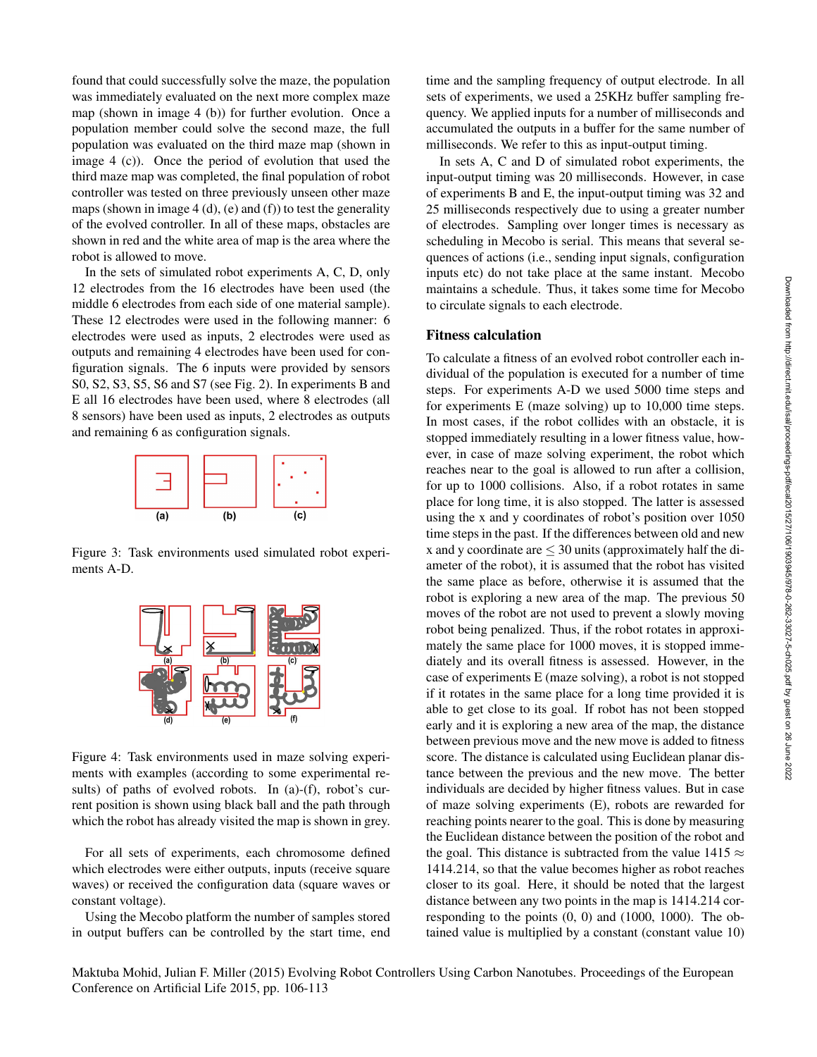found that could successfully solve the maze, the population was immediately evaluated on the next more complex maze map (shown in image 4 (b)) for further evolution. Once a population member could solve the second maze, the full population was evaluated on the third maze map (shown in image 4 (c)). Once the period of evolution that used the third maze map was completed, the final population of robot controller was tested on three previously unseen other maze maps (shown in image  $4(d)$ , (e) and (f)) to test the generality of the evolved controller. In all of these maps, obstacles are shown in red and the white area of map is the area where the robot is allowed to move.

In the sets of simulated robot experiments A, C, D, only 12 electrodes from the 16 electrodes have been used (the middle 6 electrodes from each side of one material sample). These 12 electrodes were used in the following manner: 6 electrodes were used as inputs, 2 electrodes were used as outputs and remaining 4 electrodes have been used for configuration signals. The 6 inputs were provided by sensors S0, S2, S3, S5, S6 and S7 (see Fig. 2). In experiments B and E all 16 electrodes have been used, where 8 electrodes (all 8 sensors) have been used as inputs, 2 electrodes as outputs and remaining 6 as configuration signals.



Figure 3: Task environments used simulated robot experiments A-D.



Figure 4: Task environments used in maze solving experiments with examples (according to some experimental results) of paths of evolved robots. In (a)-(f), robot's current position is shown using black ball and the path through which the robot has already visited the map is shown in grey.

For all sets of experiments, each chromosome defined which electrodes were either outputs, inputs (receive square waves) or received the configuration data (square waves or constant voltage).

Using the Mecobo platform the number of samples stored in output buffers can be controlled by the start time, end

time and the sampling frequency of output electrode. In all sets of experiments, we used a 25KHz buffer sampling frequency. We applied inputs for a number of milliseconds and accumulated the outputs in a buffer for the same number of milliseconds. We refer to this as input-output timing.

In sets A, C and D of simulated robot experiments, the input-output timing was 20 milliseconds. However, in case of experiments B and E, the input-output timing was 32 and 25 milliseconds respectively due to using a greater number of electrodes. Sampling over longer times is necessary as scheduling in Mecobo is serial. This means that several sequences of actions (i.e., sending input signals, configuration inputs etc) do not take place at the same instant. Mecobo maintains a schedule. Thus, it takes some time for Mecobo to circulate signals to each electrode.

#### Fitness calculation

To calculate a fitness of an evolved robot controller each individual of the population is executed for a number of time steps. For experiments A-D we used 5000 time steps and for experiments E (maze solving) up to 10,000 time steps. In most cases, if the robot collides with an obstacle, it is stopped immediately resulting in a lower fitness value, however, in case of maze solving experiment, the robot which reaches near to the goal is allowed to run after a collision, for up to 1000 collisions. Also, if a robot rotates in same place for long time, it is also stopped. The latter is assessed using the x and y coordinates of robot's position over 1050 time steps in the past. If the differences between old and new x and y coordinate are  $\leq 30$  units (approximately half the diameter of the robot), it is assumed that the robot has visited the same place as before, otherwise it is assumed that the robot is exploring a new area of the map. The previous 50 moves of the robot are not used to prevent a slowly moving robot being penalized. Thus, if the robot rotates in approximately the same place for 1000 moves, it is stopped immediately and its overall fitness is assessed. However, in the case of experiments E (maze solving), a robot is not stopped if it rotates in the same place for a long time provided it is able to get close to its goal. If robot has not been stopped early and it is exploring a new area of the map, the distance between previous move and the new move is added to fitness score. The distance is calculated using Euclidean planar distance between the previous and the new move. The better individuals are decided by higher fitness values. But in case of maze solving experiments (E), robots are rewarded for reaching points nearer to the goal. This is done by measuring the Euclidean distance between the position of the robot and the goal. This distance is subtracted from the value 1415  $\approx$ 1414.214, so that the value becomes higher as robot reaches closer to its goal. Here, it should be noted that the largest distance between any two points in the map is 1414.214 corresponding to the points (0, 0) and (1000, 1000). The obtained value is multiplied by a constant (constant value 10)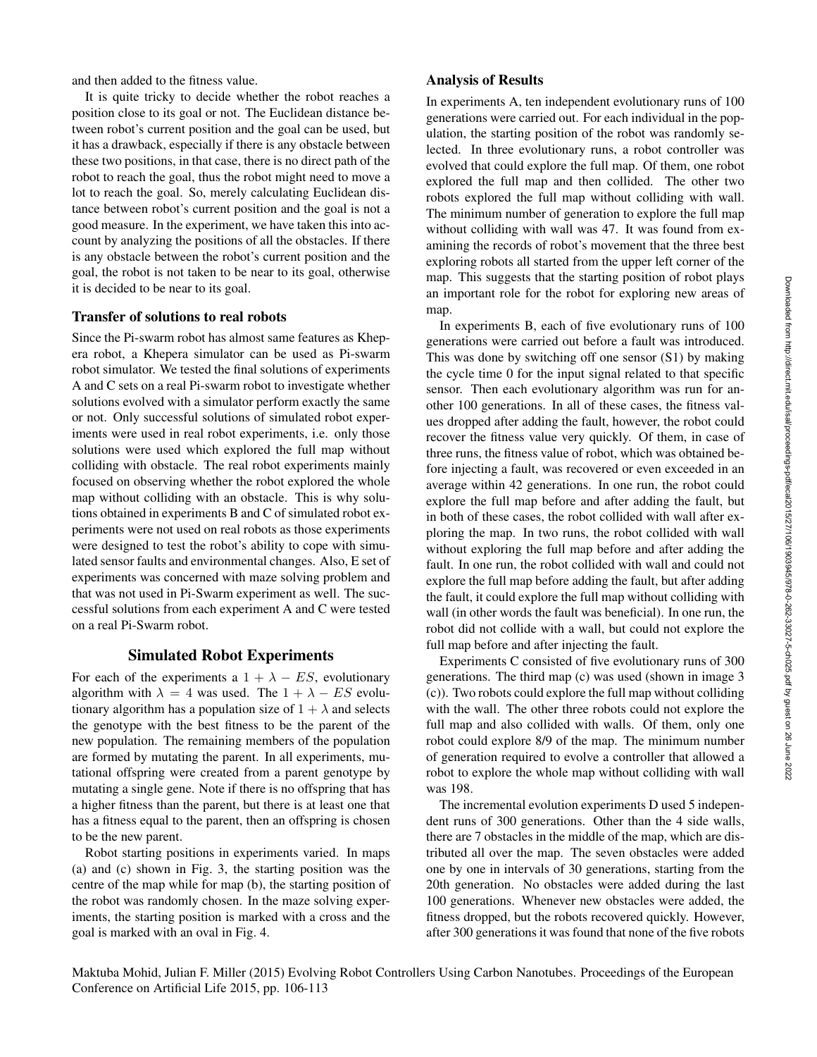and then added to the fitness value.

It is quite tricky to decide whether the robot reaches a position close to its goal or not. The Euclidean distance between robot's current position and the goal can be used, but it has a drawback, especially if there is any obstacle between these two positions, in that case, there is no direct path of the robot to reach the goal, thus the robot might need to move a lot to reach the goal. So, merely calculating Euclidean distance between robot's current position and the goal is not a good measure. In the experiment, we have taken this into account by analyzing the positions of all the obstacles. If there is any obstacle between the robot's current position and the goal, the robot is not taken to be near to its goal, otherwise it is decided to be near to its goal.

#### Transfer of solutions to real robots

Since the Pi-swarm robot has almost same features as Khepera robot, a Khepera simulator can be used as Pi-swarm robot simulator. We tested the final solutions of experiments A and C sets on a real Pi-swarm robot to investigate whether solutions evolved with a simulator perform exactly the same or not. Only successful solutions of simulated robot experiments were used in real robot experiments, i.e. only those solutions were used which explored the full map without colliding with obstacle. The real robot experiments mainly focused on observing whether the robot explored the whole map without colliding with an obstacle. This is why solutions obtained in experiments B and C of simulated robot experiments were not used on real robots as those experiments were designed to test the robot's ability to cope with simulated sensor faults and environmental changes. Also, E set of experiments was concerned with maze solving problem and that was not used in Pi-Swarm experiment as well. The successful solutions from each experiment A and C were tested on a real Pi-Swarm robot.

### Simulated Robot Experiments

For each of the experiments a  $1 + \lambda - ES$ , evolutionary algorithm with  $\lambda = 4$  was used. The  $1 + \lambda - ES$  evolutionary algorithm has a population size of  $1 + \lambda$  and selects the genotype with the best fitness to be the parent of the new population. The remaining members of the population are formed by mutating the parent. In all experiments, mutational offspring were created from a parent genotype by mutating a single gene. Note if there is no offspring that has a higher fitness than the parent, but there is at least one that has a fitness equal to the parent, then an offspring is chosen to be the new parent.

Robot starting positions in experiments varied. In maps (a) and (c) shown in Fig. 3, the starting position was the centre of the map while for map (b), the starting position of the robot was randomly chosen. In the maze solving experiments, the starting position is marked with a cross and the goal is marked with an oval in Fig. 4.

# Analysis of Results

In experiments A, ten independent evolutionary runs of 100 generations were carried out. For each individual in the population, the starting position of the robot was randomly selected. In three evolutionary runs, a robot controller was evolved that could explore the full map. Of them, one robot explored the full map and then collided. The other two robots explored the full map without colliding with wall. The minimum number of generation to explore the full map without colliding with wall was 47. It was found from examining the records of robot's movement that the three best exploring robots all started from the upper left corner of the map. This suggests that the starting position of robot plays an important role for the robot for exploring new areas of map.

In experiments B, each of five evolutionary runs of 100 generations were carried out before a fault was introduced. This was done by switching off one sensor (S1) by making the cycle time 0 for the input signal related to that specific sensor. Then each evolutionary algorithm was run for another 100 generations. In all of these cases, the fitness values dropped after adding the fault, however, the robot could recover the fitness value very quickly. Of them, in case of three runs, the fitness value of robot, which was obtained before injecting a fault, was recovered or even exceeded in an average within 42 generations. In one run, the robot could explore the full map before and after adding the fault, but in both of these cases, the robot collided with wall after exploring the map. In two runs, the robot collided with wall without exploring the full map before and after adding the fault. In one run, the robot collided with wall and could not explore the full map before adding the fault, but after adding the fault, it could explore the full map without colliding with wall (in other words the fault was beneficial). In one run, the robot did not collide with a wall, but could not explore the full map before and after injecting the fault.

Experiments C consisted of five evolutionary runs of 300 generations. The third map (c) was used (shown in image 3 (c)). Two robots could explore the full map without colliding with the wall. The other three robots could not explore the full map and also collided with walls. Of them, only one robot could explore 8/9 of the map. The minimum number of generation required to evolve a controller that allowed a robot to explore the whole map without colliding with wall was 198.

The incremental evolution experiments D used 5 independent runs of 300 generations. Other than the 4 side walls, there are 7 obstacles in the middle of the map, which are distributed all over the map. The seven obstacles were added one by one in intervals of 30 generations, starting from the 20th generation. No obstacles were added during the last 100 generations. Whenever new obstacles were added, the fitness dropped, but the robots recovered quickly. However, after 300 generations it was found that none of the five robots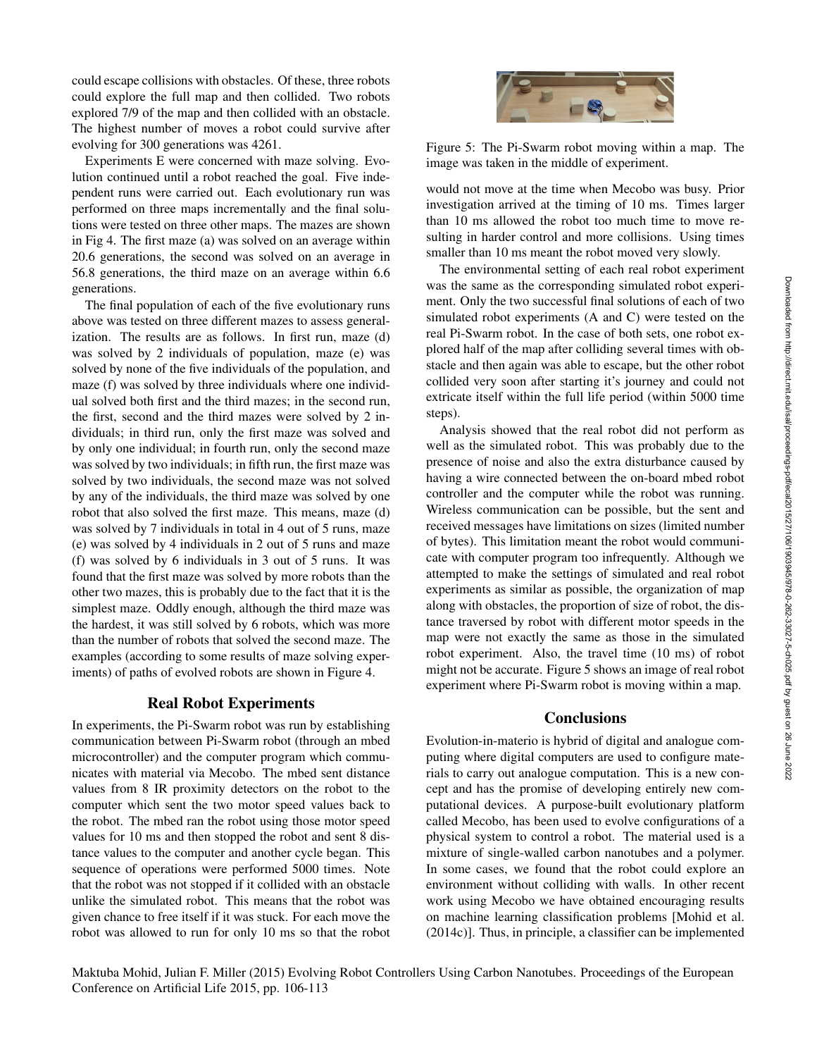could escape collisions with obstacles. Of these, three robots could explore the full map and then collided. Two robots explored 7/9 of the map and then collided with an obstacle. The highest number of moves a robot could survive after evolving for 300 generations was 4261.

Experiments E were concerned with maze solving. Evolution continued until a robot reached the goal. Five independent runs were carried out. Each evolutionary run was performed on three maps incrementally and the final solutions were tested on three other maps. The mazes are shown in Fig 4. The first maze (a) was solved on an average within 20.6 generations, the second was solved on an average in 56.8 generations, the third maze on an average within 6.6 generations.

The final population of each of the five evolutionary runs above was tested on three different mazes to assess generalization. The results are as follows. In first run, maze (d) was solved by 2 individuals of population, maze (e) was solved by none of the five individuals of the population, and maze (f) was solved by three individuals where one individual solved both first and the third mazes; in the second run, the first, second and the third mazes were solved by 2 individuals; in third run, only the first maze was solved and by only one individual; in fourth run, only the second maze was solved by two individuals; in fifth run, the first maze was solved by two individuals, the second maze was not solved by any of the individuals, the third maze was solved by one robot that also solved the first maze. This means, maze (d) was solved by 7 individuals in total in 4 out of 5 runs, maze (e) was solved by 4 individuals in 2 out of 5 runs and maze (f) was solved by 6 individuals in 3 out of 5 runs. It was found that the first maze was solved by more robots than the other two mazes, this is probably due to the fact that it is the simplest maze. Oddly enough, although the third maze was the hardest, it was still solved by 6 robots, which was more than the number of robots that solved the second maze. The examples (according to some results of maze solving experiments) of paths of evolved robots are shown in Figure 4.

# Real Robot Experiments

In experiments, the Pi-Swarm robot was run by establishing communication between Pi-Swarm robot (through an mbed microcontroller) and the computer program which communicates with material via Mecobo. The mbed sent distance values from 8 IR proximity detectors on the robot to the computer which sent the two motor speed values back to the robot. The mbed ran the robot using those motor speed values for 10 ms and then stopped the robot and sent 8 distance values to the computer and another cycle began. This sequence of operations were performed 5000 times. Note that the robot was not stopped if it collided with an obstacle unlike the simulated robot. This means that the robot was given chance to free itself if it was stuck. For each move the robot was allowed to run for only 10 ms so that the robot



Figure 5: The Pi-Swarm robot moving within a map. The image was taken in the middle of experiment.

would not move at the time when Mecobo was busy. Prior investigation arrived at the timing of 10 ms. Times larger than 10 ms allowed the robot too much time to move resulting in harder control and more collisions. Using times smaller than 10 ms meant the robot moved very slowly.

The environmental setting of each real robot experiment was the same as the corresponding simulated robot experiment. Only the two successful final solutions of each of two simulated robot experiments (A and C) were tested on the real Pi-Swarm robot. In the case of both sets, one robot explored half of the map after colliding several times with obstacle and then again was able to escape, but the other robot collided very soon after starting it's journey and could not extricate itself within the full life period (within 5000 time steps).

Analysis showed that the real robot did not perform as well as the simulated robot. This was probably due to the presence of noise and also the extra disturbance caused by having a wire connected between the on-board mbed robot controller and the computer while the robot was running. Wireless communication can be possible, but the sent and received messages have limitations on sizes (limited number of bytes). This limitation meant the robot would communicate with computer program too infrequently. Although we attempted to make the settings of simulated and real robot experiments as similar as possible, the organization of map along with obstacles, the proportion of size of robot, the distance traversed by robot with different motor speeds in the map were not exactly the same as those in the simulated robot experiment. Also, the travel time (10 ms) of robot might not be accurate. Figure 5 shows an image of real robot experiment where Pi-Swarm robot is moving within a map.

# **Conclusions**

Evolution-in-materio is hybrid of digital and analogue computing where digital computers are used to configure materials to carry out analogue computation. This is a new concept and has the promise of developing entirely new computational devices. A purpose-built evolutionary platform called Mecobo, has been used to evolve configurations of a physical system to control a robot. The material used is a mixture of single-walled carbon nanotubes and a polymer. In some cases, we found that the robot could explore an environment without colliding with walls. In other recent work using Mecobo we have obtained encouraging results on machine learning classification problems [Mohid et al. (2014c)]. Thus, in principle, a classifier can be implemented